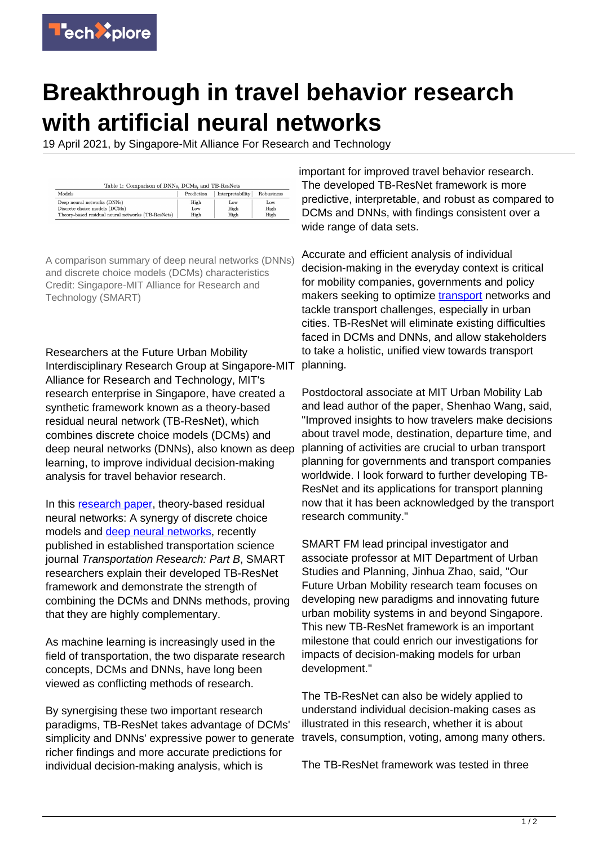

## **Breakthrough in travel behavior research with artificial neural networks**

19 April 2021, by Singapore-Mit Alliance For Research and Technology

| Table 1: Comparison of DNNs, DCMs, and TB-ResNets  |            |                  |            |
|----------------------------------------------------|------------|------------------|------------|
| Models                                             | Prediction | Interpretability | Robustness |
| Deep neural networks (DNNs)                        | High       | Low              | Low        |
| Discrete choice models (DCMs)                      | Low        | High             | High       |
| Theory-based residual neural networks (TB-ResNets) | High       | High             | High       |

A comparison summary of deep neural networks (DNNs) and discrete choice models (DCMs) characteristics Credit: Singapore-MIT Alliance for Research and Technology (SMART)

Researchers at the Future Urban Mobility Interdisciplinary Research Group at Singapore-MIT Alliance for Research and Technology, MIT's research enterprise in Singapore, have created a synthetic framework known as a theory-based residual neural network (TB-ResNet), which combines discrete choice models (DCMs) and deep neural networks (DNNs), also known as deep learning, to improve individual decision-making analysis for travel behavior research.

In this [research paper,](https://techxplore.com/tags/research+paper/) theory-based residual neural networks: A synergy of discrete choice models and [deep neural networks](https://techxplore.com/tags/deep+neural+networks/), recently published in established transportation science journal Transportation Research: Part B, SMART researchers explain their developed TB-ResNet framework and demonstrate the strength of combining the DCMs and DNNs methods, proving that they are highly complementary.

As machine learning is increasingly used in the field of transportation, the two disparate research concepts, DCMs and DNNs, have long been viewed as conflicting methods of research.

By synergising these two important research paradigms, TB-ResNet takes advantage of DCMs' simplicity and DNNs' expressive power to generate richer findings and more accurate predictions for individual decision-making analysis, which is

important for improved travel behavior research. The developed TB-ResNet framework is more predictive, interpretable, and robust as compared to DCMs and DNNs, with findings consistent over a wide range of data sets.

Accurate and efficient analysis of individual decision-making in the everyday context is critical for mobility companies, governments and policy makers seeking to optimize [transport](https://techxplore.com/tags/transport/) networks and tackle transport challenges, especially in urban cities. TB-ResNet will eliminate existing difficulties faced in DCMs and DNNs, and allow stakeholders to take a holistic, unified view towards transport planning.

Postdoctoral associate at MIT Urban Mobility Lab and lead author of the paper, Shenhao Wang, said, "Improved insights to how travelers make decisions about travel mode, destination, departure time, and planning of activities are crucial to urban transport planning for governments and transport companies worldwide. I look forward to further developing TB-ResNet and its applications for transport planning now that it has been acknowledged by the transport research community."

SMART FM lead principal investigator and associate professor at MIT Department of Urban Studies and Planning, Jinhua Zhao, said, "Our Future Urban Mobility research team focuses on developing new paradigms and innovating future urban mobility systems in and beyond Singapore. This new TB-ResNet framework is an important milestone that could enrich our investigations for impacts of decision-making models for urban development."

The TB-ResNet can also be widely applied to understand individual decision-making cases as illustrated in this research, whether it is about travels, consumption, voting, among many others.

The TB-ResNet framework was tested in three